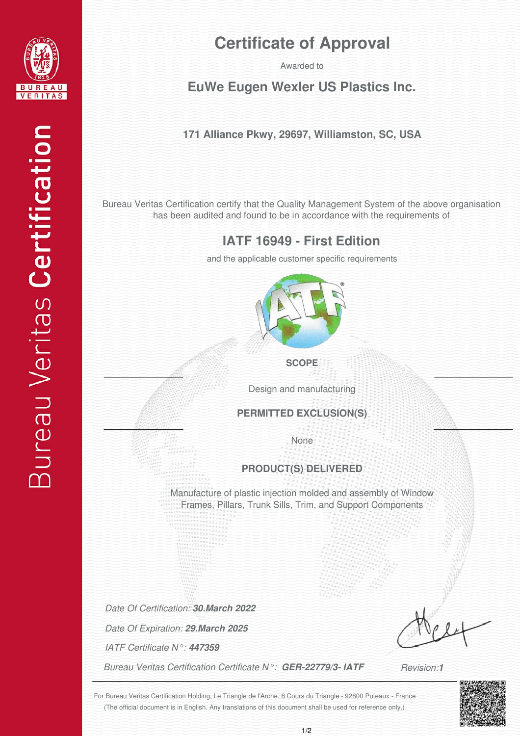

# **Certificate of Approval**

# Awarded to<br>**EuWe Eugen Wexler US Plastics Inc.**

## **171 Alliance Pkwy, 29697, Williamston, SC, USA**

Bureau Veritas Certification certify that the Quality Management System of the above organisation has been audited and found to be in accordance with the requirements of

## **IATF 16949 - First Edition**

and the applicable customer specific requirements



**SCOPE**

Design and manufacturing

**PERMITTED EXCLUSION(S)**

None

#### **PRODUCT(S) DELIVERED**

Manufacture of plastic injection molded and assembly of Window Frames, Pillars, Trunk Sills, Trim, and Support Components

*Date Of Certification: 30.March 2022*

*Date Of Expiration: 29.March 2025*

*IATF Certificate N°: 447359*

*Bureau Veritas Certification Certificate N°: GER-22779/3- IATF*

*Revision:1*

(The official document is in English. Any translations of this document shall be used for reference only.) For Bureau Veritas Certification Holding, Le Triangle de l'Arche, 8 Cours du Triangle - 92800 Puteaux - France